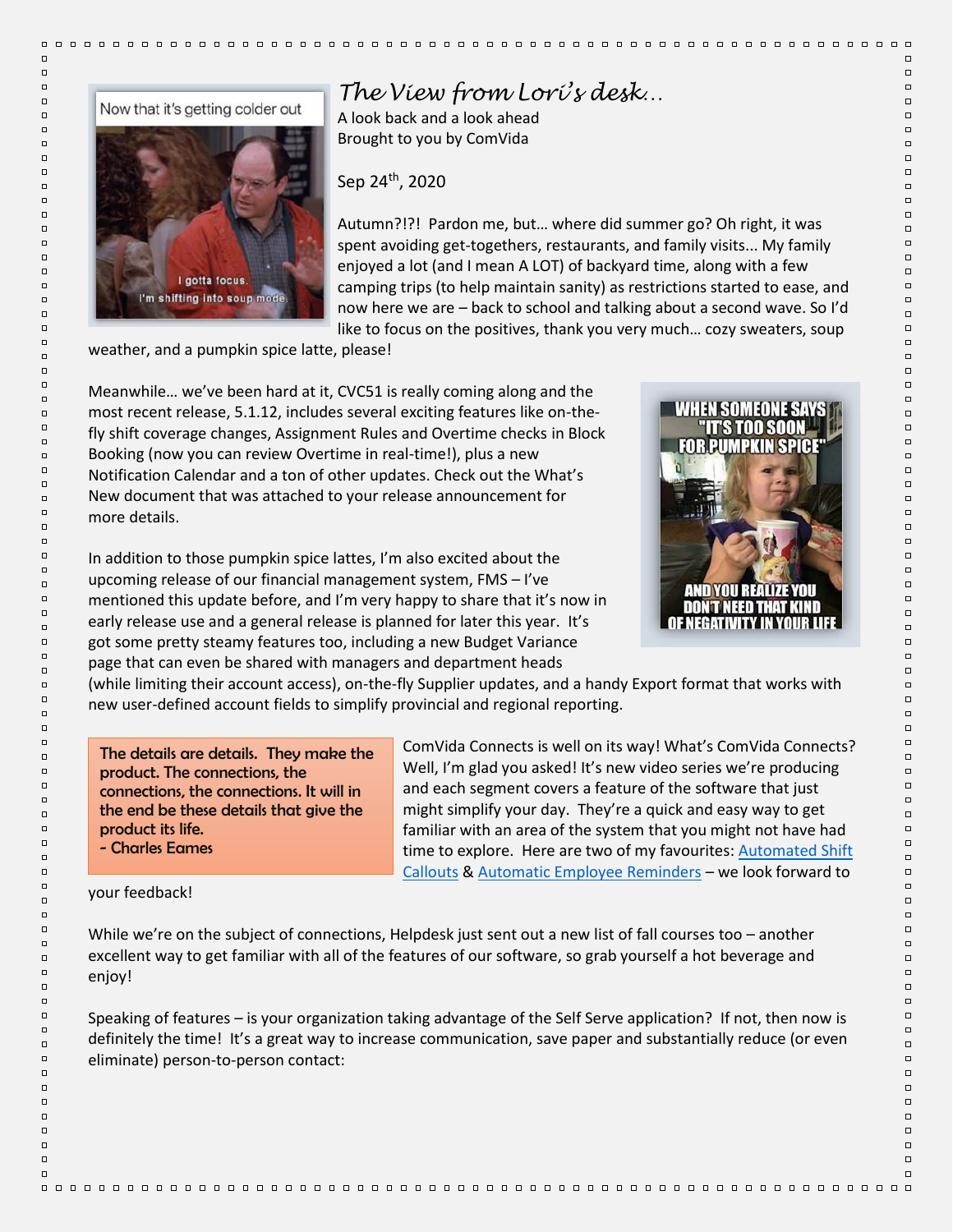

## *The View from Lori's desk…*

A look back and a look ahead Brought to you by ComVida

Sep 24th, 2020

Autumn?!?! Pardon me, but… where did summer go? Oh right, it was spent avoiding get-togethers, restaurants, and family visits... My family enjoyed a lot (and I mean A LOT) of backyard time, along with a few camping trips (to help maintain sanity) as restrictions started to ease, and now here we are – back to school and talking about a second wave. So I'd like to focus on the positives, thank you very much… cozy sweaters, soup

weather, and a pumpkin spice latte, please!

Meanwhile… we've been hard at it, CVC51 is really coming along and the most recent release, 5.1.12, includes several exciting features like on-thefly shift coverage changes, Assignment Rules and Overtime checks in Block Booking (now you can review Overtime in real-time!), plus a new Notification Calendar and a ton of other updates. Check out the What's New document that was attached to your release announcement for more details.

In addition to those pumpkin spice lattes, I'm also excited about the upcoming release of our financial management system, FMS – I've mentioned this update before, and I'm very happy to share that it's now in early release use and a general release is planned for later this year. It's got some pretty steamy features too, including a new Budget Variance page that can even be shared with managers and department heads



 $\Box$ 

 $\Box$ 

 $\Box$ 

 $\Box$ 

 $\Box$ 

 $\Box$ 

 $\Box$ 

 $\Box$ 

 $\Box$ 

 $\Box$ 

 $\Box$ 

 $\Box$ 

 $\Box$ 

 $\Box$ 

 $\Box$ 

 $\Box$ 

 $\Box$ 

 $\Box$ 

 $\Box$ 

 $\Box$ 

 $\Box$ 

 $\Box$ 

 $\Box$ 

 $\Box$ 

 $\Box$ 

 $\Box$ 

 $\Box$ 

 $\Box$ 

 $\Box$ 

 $\Box$ 

 $\Box$ 

 $\Box$ 

 $\Box$ 

 $\Box$ 

 $\Box$ 

 $\Box$ 

 $\Box$ 

 $\Box$ 

 $\Box$ 

 $\Box$ 

 $\Box$ 

 $\Box$ 

 $\Box$ 

 $\Box$ 

 $\Box$ 

 $\Box$ 

 $\Box$ 

 $\Box$ 

 $\Box$ 

 $\Box$ 

 $\Box$ 

 $\Box$ 

 $\Box$ 

 $\Box$ 

 $\Box$ 

 $\Box$ 

 $\Box$ 

 $\Box$ 

 $\Box$ 

 $\Box$ 

 $\Box$ 

 $\Box$ 

 $\Box$ 

 $\Box$ 

 $\Box$ 

 $\Box$ 

 $\Box$ 

 $\Box$ 

 $\Box$ 

 $\Box$ 

 $\Box$ 

 $\Box$ 

 $\Box$ 

 $\Box$ 

 $\Box$ 

 $\Box$ 

 $\Box$ 

 $\Box$ 

(while limiting their account access), on-the-fly Supplier updates, and a handy Export format that works with new user-defined account fields to simplify provincial and regional reporting.

The details are details. They make the product. The connections, the connections, the connections. It will in the end be these details that give the product its life. - Charles Eames

ComVida Connects is well on its way! What's ComVida Connects? Well, I'm glad you asked! It's new video series we're producing and each segment covers a feature of the software that just might simplify your day. They're a quick and easy way to get familiar with an area of the system that you might not have had time to explore. Here are two of my favourites[: Automated Shift](https://player.vimeo.com/video/458694532?autoplay=1)  [Callouts](https://player.vimeo.com/video/458694532?autoplay=1) & [Automatic Employee Reminders](https://player.vimeo.com/video/459159054?autoplay=1) – we look forward to

## your feedback!

While we're on the subject of connections, Helpdesk just sent out a new list of fall courses too – another excellent way to get familiar with all of the features of our software, so grab yourself a hot beverage and enjoy!

Speaking of features – is your organization taking advantage of the Self Serve application? If not, then now is definitely the time! It's a great way to increase communication, save paper and substantially reduce (or even eliminate) person-to-person contact:

 $\Box$